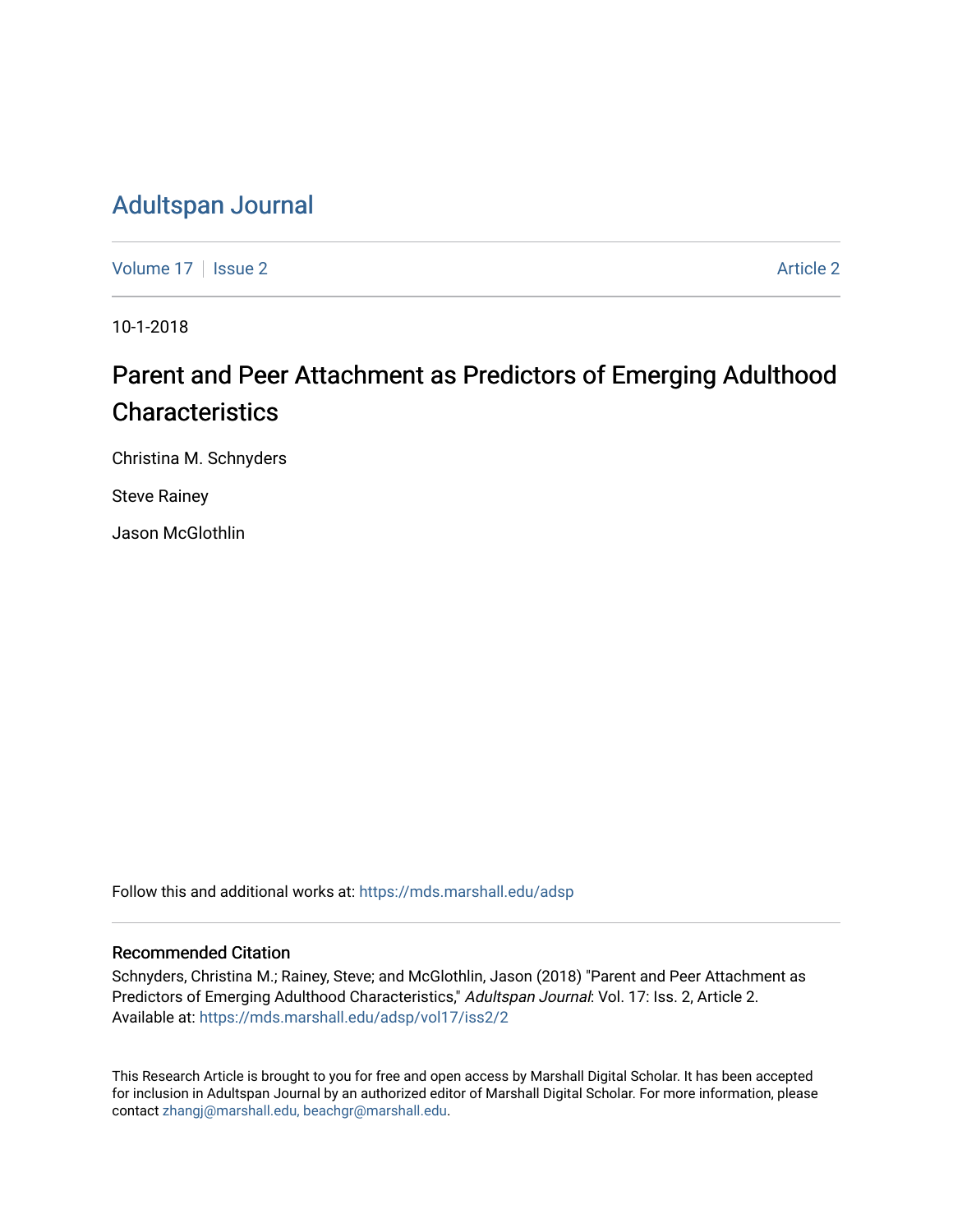## [Adultspan Journal](https://mds.marshall.edu/adsp)

[Volume 17](https://mds.marshall.edu/adsp/vol17) | [Issue 2](https://mds.marshall.edu/adsp/vol17/iss2) [Article 2](https://mds.marshall.edu/adsp/vol17/iss2/2) Article 2 Article 2 Article 2 Article 2 Article 2 Article 2

10-1-2018

## Parent and Peer Attachment as Predictors of Emerging Adulthood **Characteristics**

Christina M. Schnyders

Steve Rainey

Jason McGlothlin

Follow this and additional works at: [https://mds.marshall.edu/adsp](https://mds.marshall.edu/adsp?utm_source=mds.marshall.edu%2Fadsp%2Fvol17%2Fiss2%2F2&utm_medium=PDF&utm_campaign=PDFCoverPages) 

## Recommended Citation

Schnyders, Christina M.; Rainey, Steve; and McGlothlin, Jason (2018) "Parent and Peer Attachment as Predictors of Emerging Adulthood Characteristics," Adultspan Journal: Vol. 17: Iss. 2, Article 2. Available at: [https://mds.marshall.edu/adsp/vol17/iss2/2](https://mds.marshall.edu/adsp/vol17/iss2/2?utm_source=mds.marshall.edu%2Fadsp%2Fvol17%2Fiss2%2F2&utm_medium=PDF&utm_campaign=PDFCoverPages) 

This Research Article is brought to you for free and open access by Marshall Digital Scholar. It has been accepted for inclusion in Adultspan Journal by an authorized editor of Marshall Digital Scholar. For more information, please contact [zhangj@marshall.edu, beachgr@marshall.edu](mailto:zhangj@marshall.edu,%20beachgr@marshall.edu).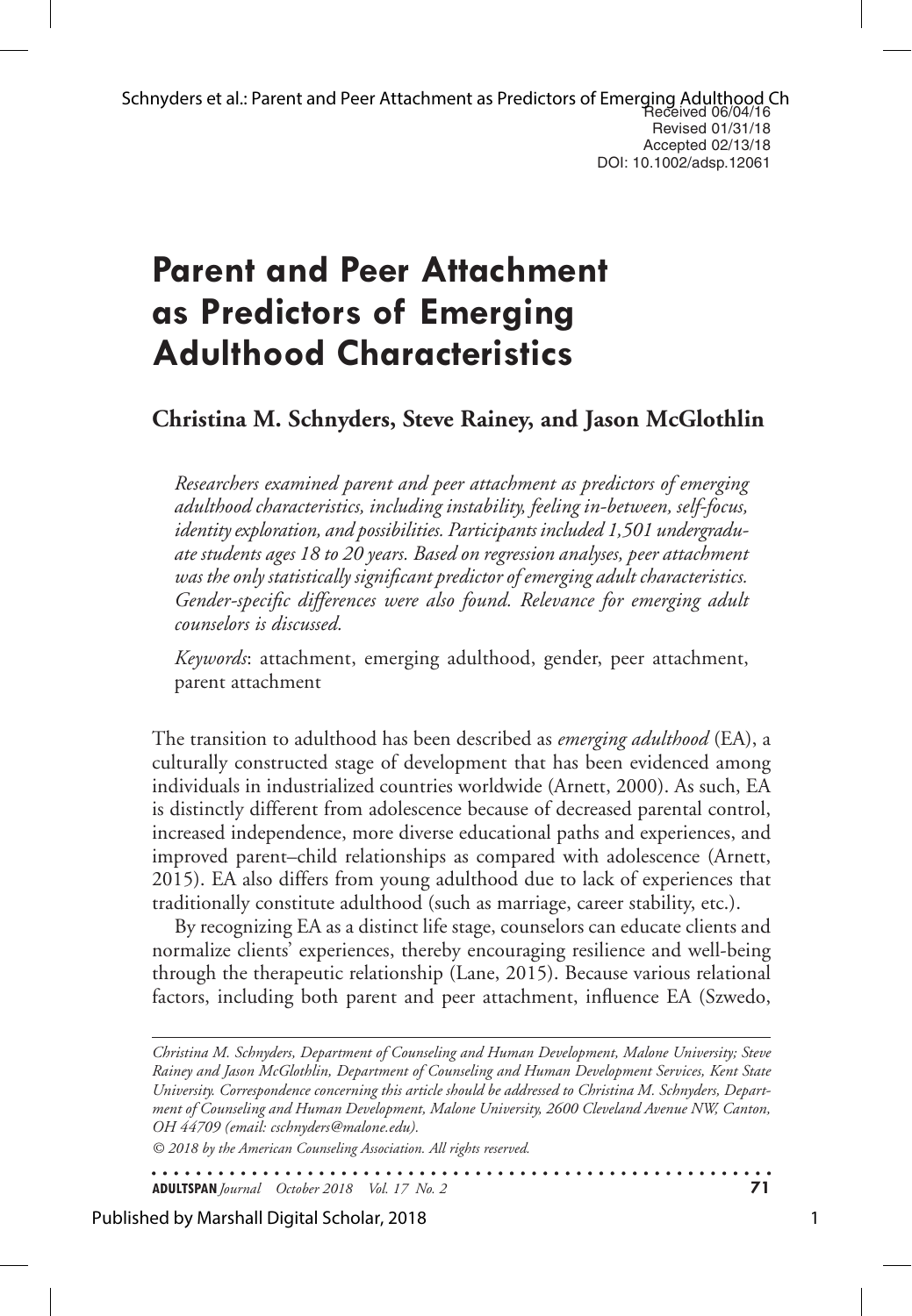# **Parent and Peer Attachment as Predictors of Emerging Adulthood Characteristics**

## **Christina M. Schnyders, Steve Rainey, and Jason McGlothlin**

*Researchers examined parent and peer attachment as predictors of emerging adulthood characteristics, including instability, feeling in-between, self-focus, identity exploration, and possibilities. Participants included 1,501 undergraduate students ages 18 to 20 years. Based on regression analyses, peer attachment was the only statistically significant predictor of emerging adult characteristics. Gender-specific differences were also found. Relevance for emerging adult counselors is discussed.*

*Keywords*: attachment, emerging adulthood, gender, peer attachment, parent attachment

The transition to adulthood has been described as *emerging adulthood* (EA), a culturally constructed stage of development that has been evidenced among individuals in industrialized countries worldwide (Arnett, 2000). As such, EA is distinctly different from adolescence because of decreased parental control, increased independence, more diverse educational paths and experiences, and improved parent–child relationships as compared with adolescence (Arnett, 2015). EA also differs from young adulthood due to lack of experiences that traditionally constitute adulthood (such as marriage, career stability, etc.).

By recognizing EA as a distinct life stage, counselors can educate clients and normalize clients' experiences, thereby encouraging resilience and well-being through the therapeutic relationship (Lane, 2015). Because various relational factors, including both parent and peer attachment, influence EA (Szwedo,

*Christina M. Schnyders, Department of Counseling and Human Development, Malone University; Steve Rainey and Jason McGlothlin, Department of Counseling and Human Development Services, Kent State University. Correspondence concerning this article should be addressed to Christina M. Schnyders, Department of Counseling and Human Development, Malone University, 2600 Cleveland Avenue NW, Canton, OH 44709 (email: cschnyders@malone.edu).*

. . . . . . . . . . . . . . . .

*© 2018 by the American Counseling Association. All rights reserved.*

. . . . . . . . . . . . . . . . . . . **ADULTSPAN***Journal October 2018 Vol. 17 No. 2* **71**

Published by Marshall Digital Scholar, 2018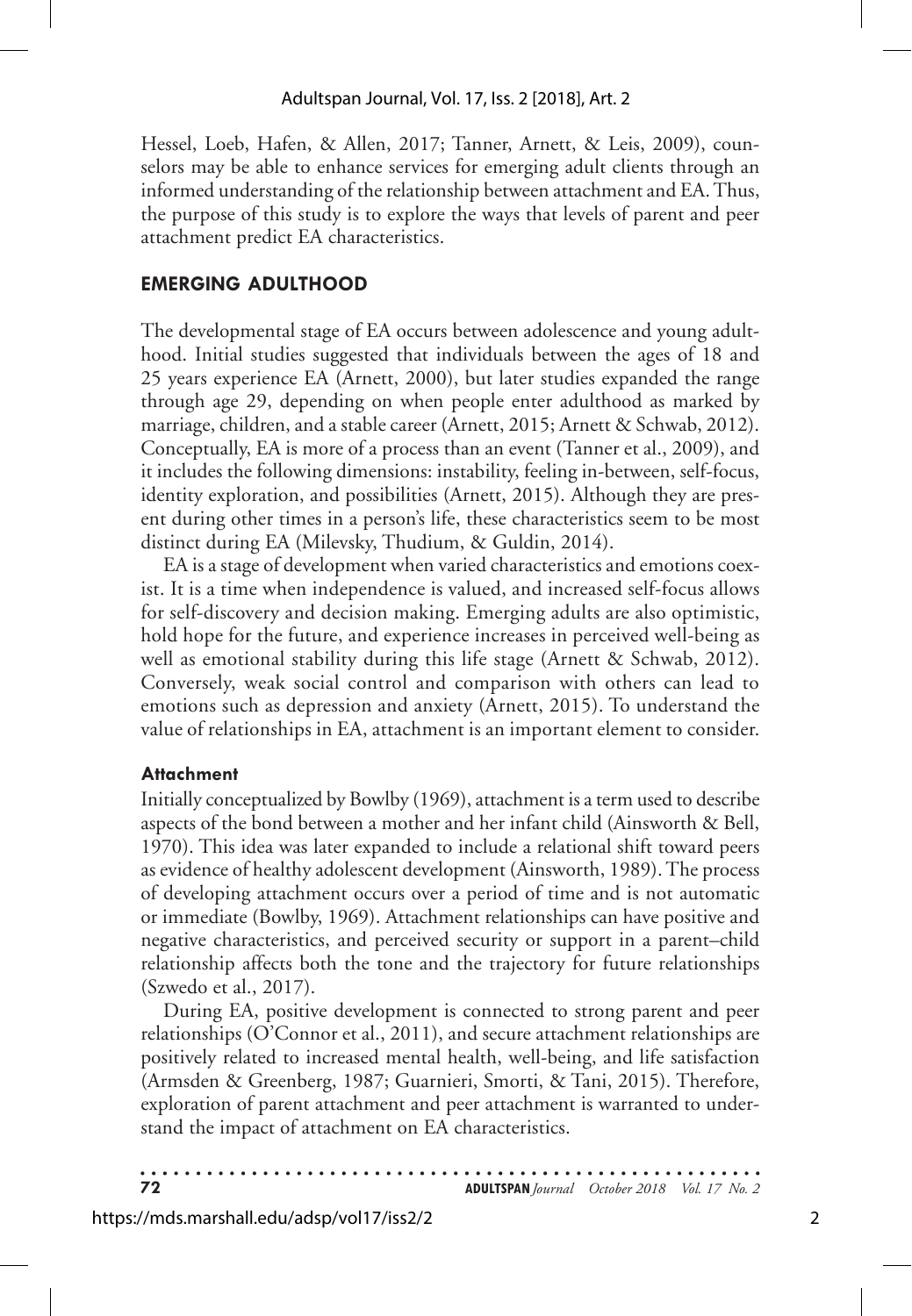Hessel, Loeb, Hafen, & Allen, 2017; Tanner, Arnett, & Leis, 2009), counselors may be able to enhance services for emerging adult clients through an informed understanding of the relationship between attachment and EA. Thus, the purpose of this study is to explore the ways that levels of parent and peer attachment predict EA characteristics.

## **EMERGING ADULTHOOD**

The developmental stage of EA occurs between adolescence and young adulthood. Initial studies suggested that individuals between the ages of 18 and 25 years experience EA (Arnett, 2000), but later studies expanded the range through age 29, depending on when people enter adulthood as marked by marriage, children, and a stable career (Arnett, 2015; Arnett & Schwab, 2012). Conceptually, EA is more of a process than an event (Tanner et al., 2009), and it includes the following dimensions: instability, feeling in-between, self-focus, identity exploration, and possibilities (Arnett, 2015). Although they are present during other times in a person's life, these characteristics seem to be most distinct during EA (Milevsky, Thudium, & Guldin, 2014).

EA is a stage of development when varied characteristics and emotions coexist. It is a time when independence is valued, and increased self-focus allows for self-discovery and decision making. Emerging adults are also optimistic, hold hope for the future, and experience increases in perceived well-being as well as emotional stability during this life stage (Arnett & Schwab, 2012). Conversely, weak social control and comparison with others can lead to emotions such as depression and anxiety (Arnett, 2015). To understand the value of relationships in EA, attachment is an important element to consider.

## **Attachment**

Initially conceptualized by Bowlby (1969), attachment is a term used to describe aspects of the bond between a mother and her infant child (Ainsworth & Bell, 1970). This idea was later expanded to include a relational shift toward peers as evidence of healthy adolescent development (Ainsworth, 1989). The process of developing attachment occurs over a period of time and is not automatic or immediate (Bowlby, 1969). Attachment relationships can have positive and negative characteristics, and perceived security or support in a parent–child relationship affects both the tone and the trajectory for future relationships (Szwedo et al., 2017).

During EA, positive development is connected to strong parent and peer relationships (O'Connor et al., 2011), and secure attachment relationships are positively related to increased mental health, well-being, and life satisfaction (Armsden & Greenberg, 1987; Guarnieri, Smorti, & Tani, 2015). Therefore, exploration of parent attachment and peer attachment is warranted to understand the impact of attachment on EA characteristics.

**72 ADULTSPAN***Journal October 2018 Vol. 17 No. 2*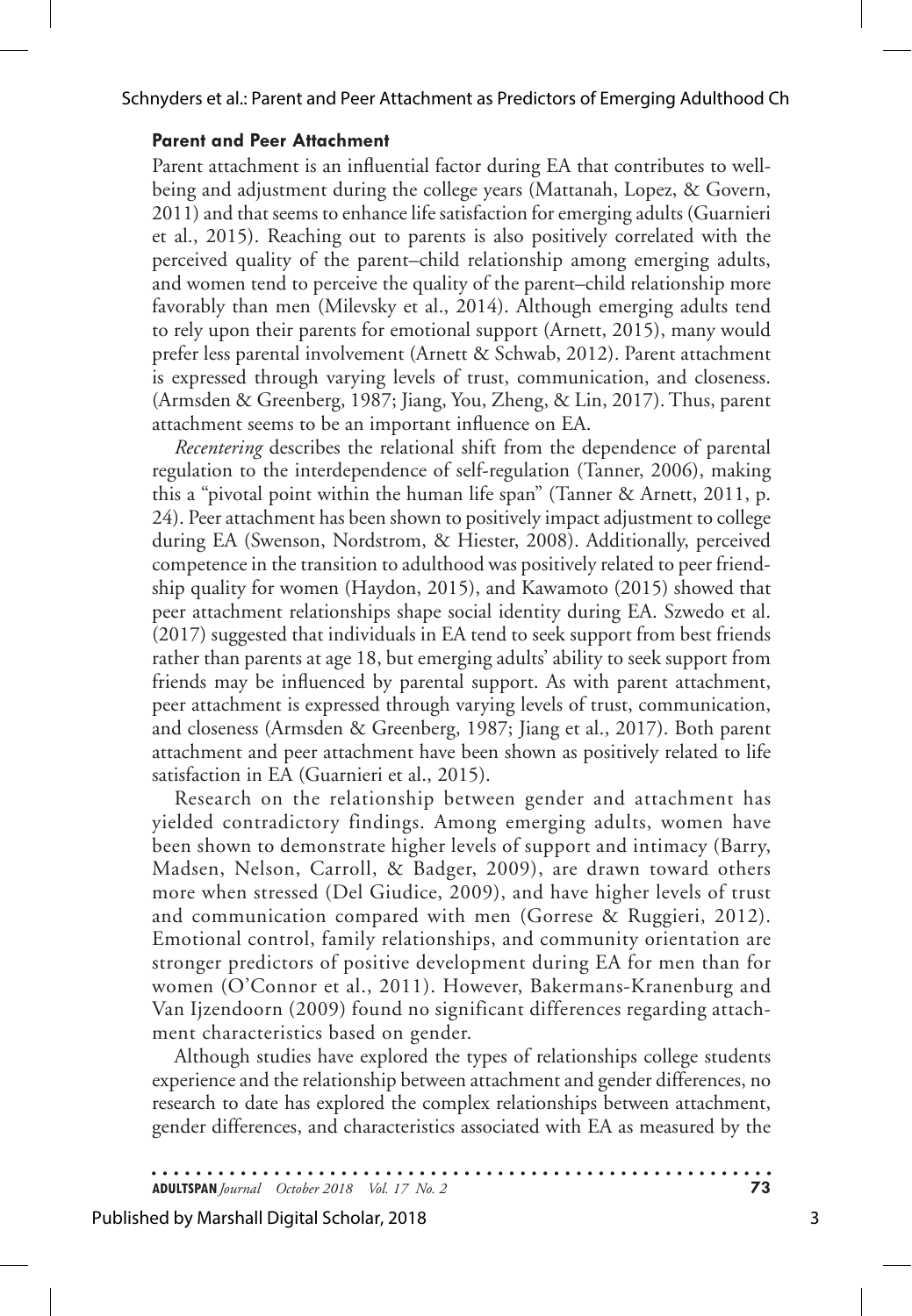Schnyders et al.: Parent and Peer Attachment as Predictors of Emerging Adulthood Ch

#### **Parent and Peer Attachment**

Parent attachment is an influential factor during EA that contributes to wellbeing and adjustment during the college years (Mattanah, Lopez, & Govern, 2011) and that seems to enhance life satisfaction for emerging adults (Guarnieri et al., 2015). Reaching out to parents is also positively correlated with the perceived quality of the parent–child relationship among emerging adults, and women tend to perceive the quality of the parent–child relationship more favorably than men (Milevsky et al., 2014). Although emerging adults tend to rely upon their parents for emotional support (Arnett, 2015), many would prefer less parental involvement (Arnett & Schwab, 2012). Parent attachment is expressed through varying levels of trust, communication, and closeness. (Armsden & Greenberg, 1987; Jiang, You, Zheng, & Lin, 2017). Thus, parent attachment seems to be an important influence on EA.

*Recentering* describes the relational shift from the dependence of parental regulation to the interdependence of self-regulation (Tanner, 2006), making this a "pivotal point within the human life span" (Tanner & Arnett, 2011, p. 24). Peer attachment has been shown to positively impact adjustment to college during EA (Swenson, Nordstrom, & Hiester, 2008). Additionally, perceived competence in the transition to adulthood was positively related to peer friendship quality for women (Haydon, 2015), and Kawamoto (2015) showed that peer attachment relationships shape social identity during EA. Szwedo et al. (2017) suggested that individuals in EA tend to seek support from best friends rather than parents at age 18, but emerging adults' ability to seek support from friends may be influenced by parental support. As with parent attachment, peer attachment is expressed through varying levels of trust, communication, and closeness (Armsden & Greenberg, 1987; Jiang et al., 2017). Both parent attachment and peer attachment have been shown as positively related to life satisfaction in EA (Guarnieri et al., 2015).

Research on the relationship between gender and attachment has yielded contradictory findings. Among emerging adults, women have been shown to demonstrate higher levels of support and intimacy (Barry, Madsen, Nelson, Carroll, & Badger, 2009), are drawn toward others more when stressed (Del Giudice, 2009), and have higher levels of trust and communication compared with men (Gorrese & Ruggieri, 2012). Emotional control, family relationships, and community orientation are stronger predictors of positive development during EA for men than for women (O'Connor et al., 2011). However, Bakermans-Kranenburg and Van Ijzendoorn (2009) found no significant differences regarding attachment characteristics based on gender.

Although studies have explored the types of relationships college students experience and the relationship between attachment and gender differences, no research to date has explored the complex relationships between attachment, gender differences, and characteristics associated with EA as measured by the

**ADULTSPAN***Journal October 2018 Vol. 17 No. 2* **73**

Published by Marshall Digital Scholar, 2018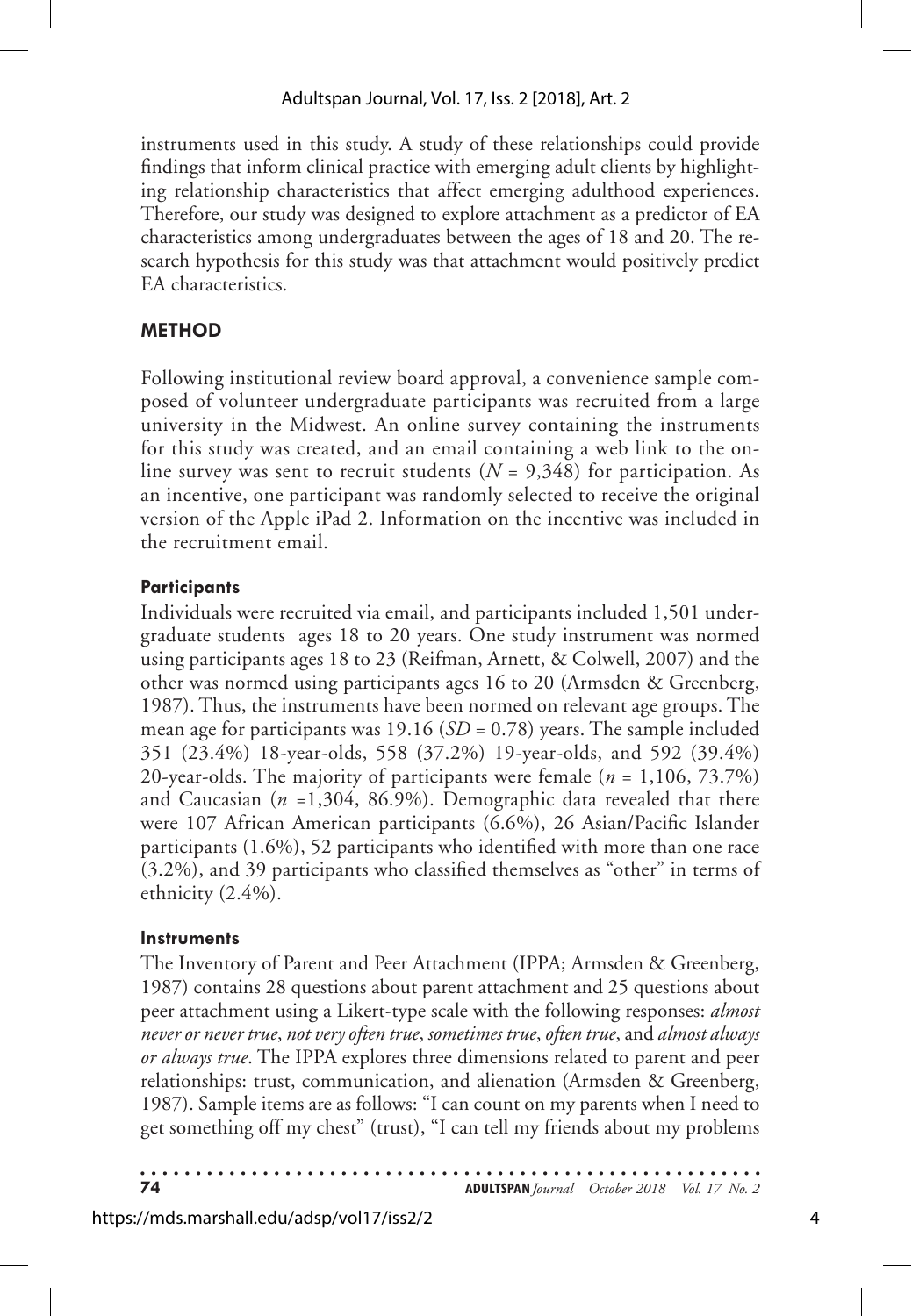instruments used in this study. A study of these relationships could provide findings that inform clinical practice with emerging adult clients by highlighting relationship characteristics that affect emerging adulthood experiences. Therefore, our study was designed to explore attachment as a predictor of EA characteristics among undergraduates between the ages of 18 and 20. The research hypothesis for this study was that attachment would positively predict EA characteristics.

## **METHOD**

Following institutional review board approval, a convenience sample composed of volunteer undergraduate participants was recruited from a large university in the Midwest. An online survey containing the instruments for this study was created, and an email containing a web link to the online survey was sent to recruit students  $(N = 9,348)$  for participation. As an incentive, one participant was randomly selected to receive the original version of the Apple iPad 2. Information on the incentive was included in the recruitment email.

## **Participants**

Individuals were recruited via email, and participants included 1,501 undergraduate students ages 18 to 20 years. One study instrument was normed using participants ages 18 to 23 (Reifman, Arnett, & Colwell, 2007) and the other was normed using participants ages 16 to 20 (Armsden & Greenberg, 1987). Thus, the instruments have been normed on relevant age groups. The mean age for participants was 19.16 (*SD* = 0.78) years. The sample included 351 (23.4%) 18-year-olds, 558 (37.2%) 19-year-olds, and 592 (39.4%) 20-year-olds. The majority of participants were female (*n* = 1,106, 73.7%) and Caucasian (*n =*1,304, 86.9%). Demographic data revealed that there were 107 African American participants (6.6%), 26 Asian/Pacific Islander participants (1.6%), 52 participants who identified with more than one race (3.2%), and 39 participants who classified themselves as "other" in terms of ethnicity (2.4%).

## **Instruments**

The Inventory of Parent and Peer Attachment (IPPA; Armsden & Greenberg, 1987) contains 28 questions about parent attachment and 25 questions about peer attachment using a Likert-type scale with the following responses: *almost never or never true*, *not very often true*, *sometimes true*, *often true*, and *almost always or always true*. The IPPA explores three dimensions related to parent and peer relationships: trust, communication, and alienation (Armsden & Greenberg, 1987). Sample items are as follows: "I can count on my parents when I need to get something off my chest" (trust), "I can tell my friends about my problems

| - 74 | <b>ADULTSPAN</b> Journal October 2018 Vol. 17 No. 2 |  |
|------|-----------------------------------------------------|--|
|      |                                                     |  |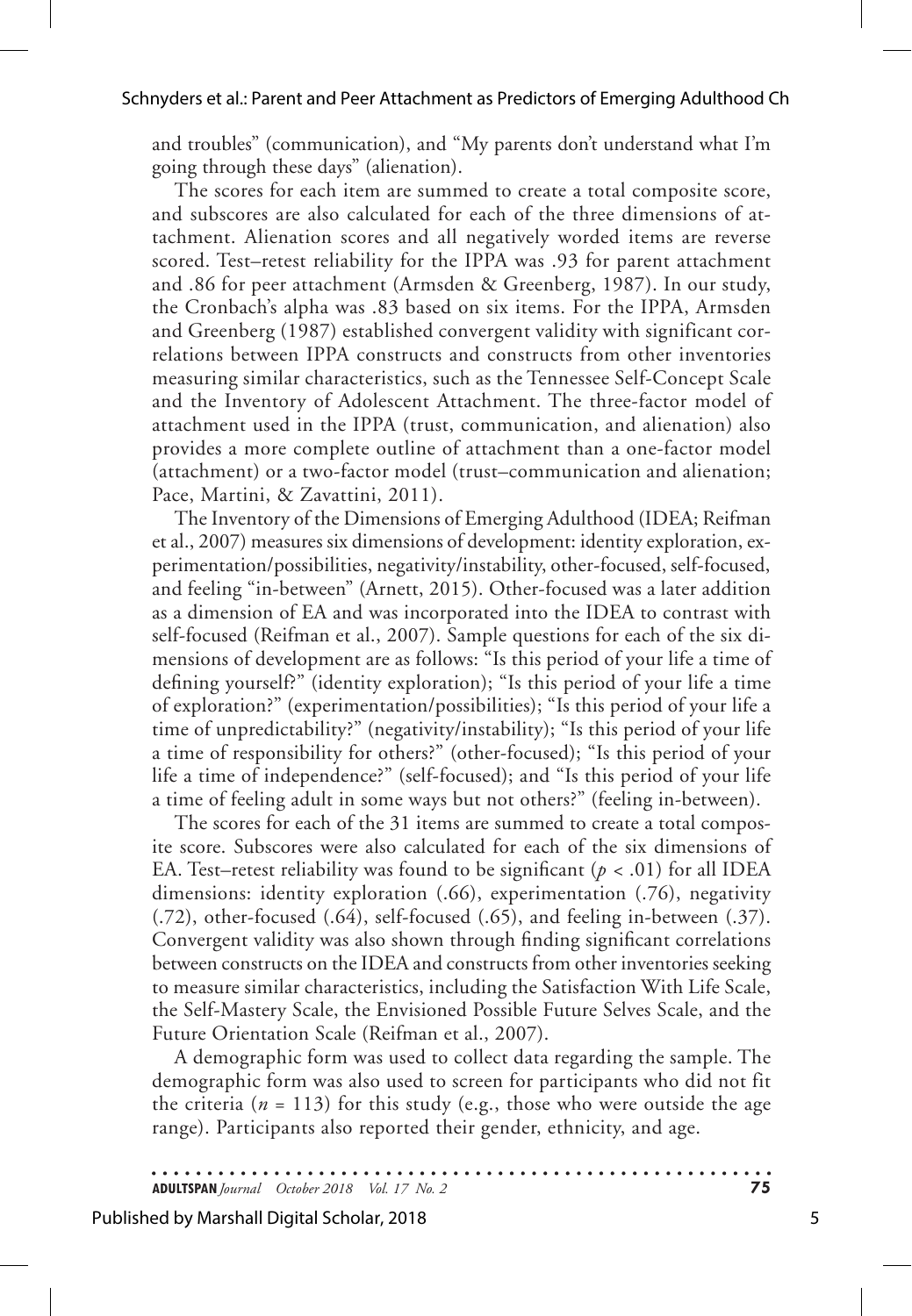#### Schnyders et al.: Parent and Peer Attachment as Predictors of Emerging Adulthood Ch

and troubles" (communication), and "My parents don't understand what I'm going through these days" (alienation).

The scores for each item are summed to create a total composite score, and subscores are also calculated for each of the three dimensions of attachment. Alienation scores and all negatively worded items are reverse scored. Test–retest reliability for the IPPA was .93 for parent attachment and .86 for peer attachment (Armsden & Greenberg, 1987). In our study, the Cronbach's alpha was .83 based on six items. For the IPPA, Armsden and Greenberg (1987) established convergent validity with significant correlations between IPPA constructs and constructs from other inventories measuring similar characteristics, such as the Tennessee Self-Concept Scale and the Inventory of Adolescent Attachment. The three-factor model of attachment used in the IPPA (trust, communication, and alienation) also provides a more complete outline of attachment than a one-factor model (attachment) or a two-factor model (trust–communication and alienation; Pace, Martini, & Zavattini, 2011).

The Inventory of the Dimensions of Emerging Adulthood (IDEA; Reifman et al., 2007) measures six dimensions of development: identity exploration, experimentation/possibilities, negativity/instability, other-focused, self-focused, and feeling "in-between" (Arnett, 2015). Other-focused was a later addition as a dimension of EA and was incorporated into the IDEA to contrast with self-focused (Reifman et al., 2007). Sample questions for each of the six dimensions of development are as follows: "Is this period of your life a time of defining yourself?" (identity exploration); "Is this period of your life a time of exploration?" (experimentation/possibilities); "Is this period of your life a time of unpredictability?" (negativity/instability); "Is this period of your life a time of responsibility for others?" (other-focused); "Is this period of your life a time of independence?" (self-focused); and "Is this period of your life a time of feeling adult in some ways but not others?" (feeling in-between).

The scores for each of the 31 items are summed to create a total composite score. Subscores were also calculated for each of the six dimensions of EA. Test–retest reliability was found to be significant  $(p < .01)$  for all IDEA dimensions: identity exploration (.66), experimentation (.76), negativity (.72), other-focused (.64), self-focused (.65), and feeling in-between (.37). Convergent validity was also shown through finding significant correlations between constructs on the IDEA and constructs from other inventories seeking to measure similar characteristics, including the Satisfaction With Life Scale, the Self-Mastery Scale, the Envisioned Possible Future Selves Scale, and the Future Orientation Scale (Reifman et al., 2007).

A demographic form was used to collect data regarding the sample. The demographic form was also used to screen for participants who did not fit the criteria ( $n = 113$ ) for this study (e.g., those who were outside the age range). Participants also reported their gender, ethnicity, and age.

**ADULTSPAN***Journal October 2018 Vol. 17 No. 2* **75**

Published by Marshall Digital Scholar, 2018

5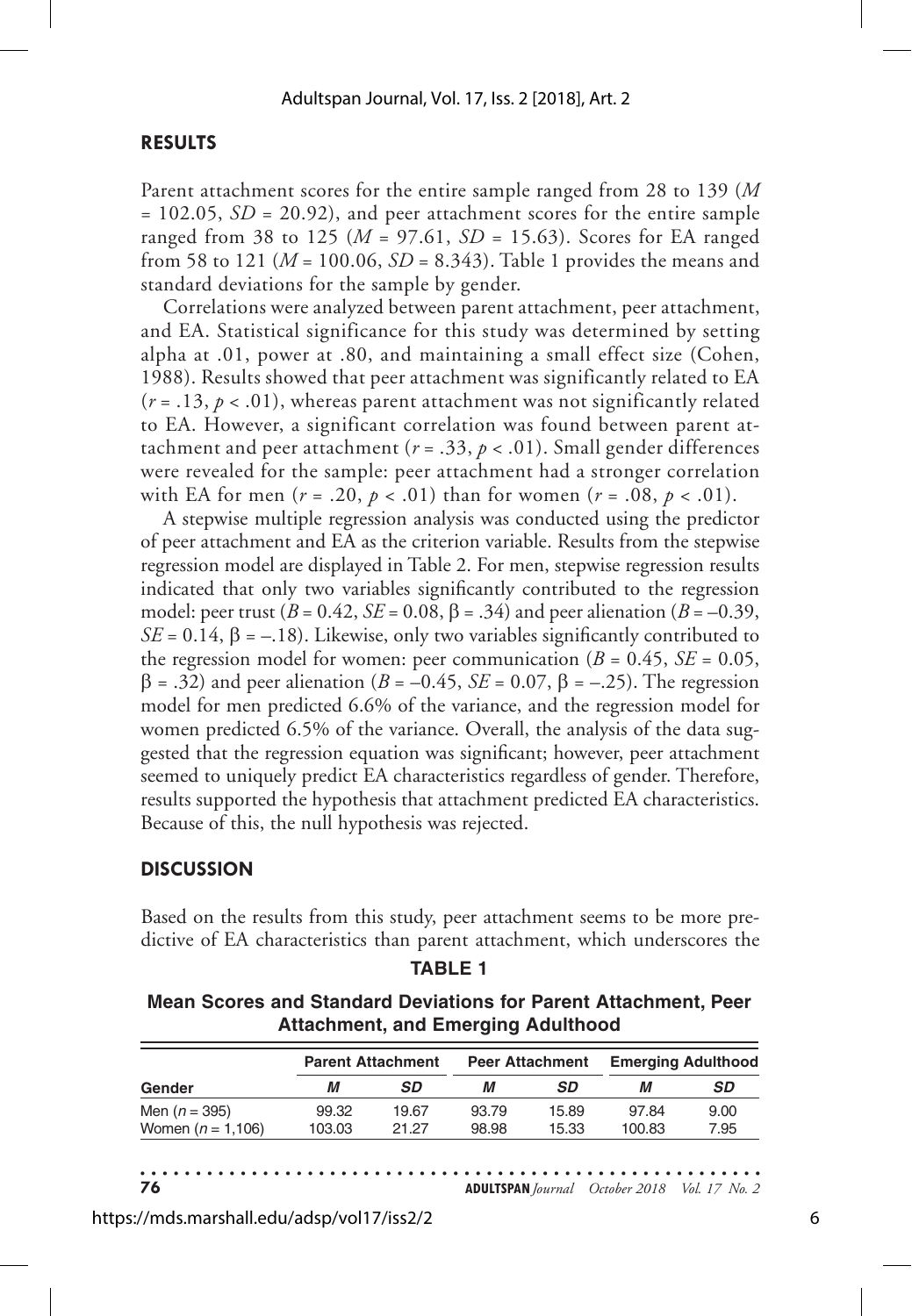## **RESULTS**

Parent attachment scores for the entire sample ranged from 28 to 139 (*M* = 102.05, *SD* = 20.92), and peer attachment scores for the entire sample ranged from 38 to 125 (*M* = 97.61, *SD* = 15.63). Scores for EA ranged from 58 to 121 (*M* = 100.06, *SD* = 8.343). Table 1 provides the means and standard deviations for the sample by gender.

Correlations were analyzed between parent attachment, peer attachment, and EA. Statistical significance for this study was determined by setting alpha at .01, power at .80, and maintaining a small effect size (Cohen, 1988). Results showed that peer attachment was significantly related to EA  $(r = .13, p < .01)$ , whereas parent attachment was not significantly related to EA. However, a significant correlation was found between parent attachment and peer attachment ( $r = .33$ ,  $p < .01$ ). Small gender differences were revealed for the sample: peer attachment had a stronger correlation with EA for men ( $r = .20$ ,  $p < .01$ ) than for women ( $r = .08$ ,  $p < .01$ ).

A stepwise multiple regression analysis was conducted using the predictor of peer attachment and EA as the criterion variable. Results from the stepwise regression model are displayed in Table 2. For men, stepwise regression results indicated that only two variables significantly contributed to the regression model: peer trust  $(B = 0.42, SE = 0.08, \beta = .34)$  and peer alienation  $(B = -0.39,$  $SE = 0.14$ ,  $\beta = -.18$ ). Likewise, only two variables significantly contributed to the regression model for women: peer communication ( $B = 0.45$ ,  $SE = 0.05$ , β = .32) and peer alienation (*B* = –0.45, *SE* = 0.07, β = –.25). The regression model for men predicted 6.6% of the variance, and the regression model for women predicted 6.5% of the variance. Overall, the analysis of the data suggested that the regression equation was significant; however, peer attachment seemed to uniquely predict EA characteristics regardless of gender. Therefore, results supported the hypothesis that attachment predicted EA characteristics. Because of this, the null hypothesis was rejected.

## **DISCUSSION**

Based on the results from this study, peer attachment seems to be more predictive of EA characteristics than parent attachment, which underscores the

| Gender               |        | <b>Parent Attachment</b> |       | <b>Peer Attachment</b> |        | <b>Emerging Adulthood</b> |  |
|----------------------|--------|--------------------------|-------|------------------------|--------|---------------------------|--|
|                      | М      | SD                       | М     | <b>SD</b>              | М      | SD                        |  |
| Men $(n = 395)$      | 99.32  | 19.67                    | 93.79 | 15.89                  | 97.84  | 9.00                      |  |
| Women $(n = 1, 106)$ | 103.03 | 21.27                    | 98.98 | 15.33                  | 100.83 | 7.95                      |  |

**76 ADULTSPAN***Journal October 2018 Vol. 17 No. 2*

## **TABLE 1**

**Mean Scores and Standard Deviations for Parent Attachment, Peer Attachment, and Emerging Adulthood**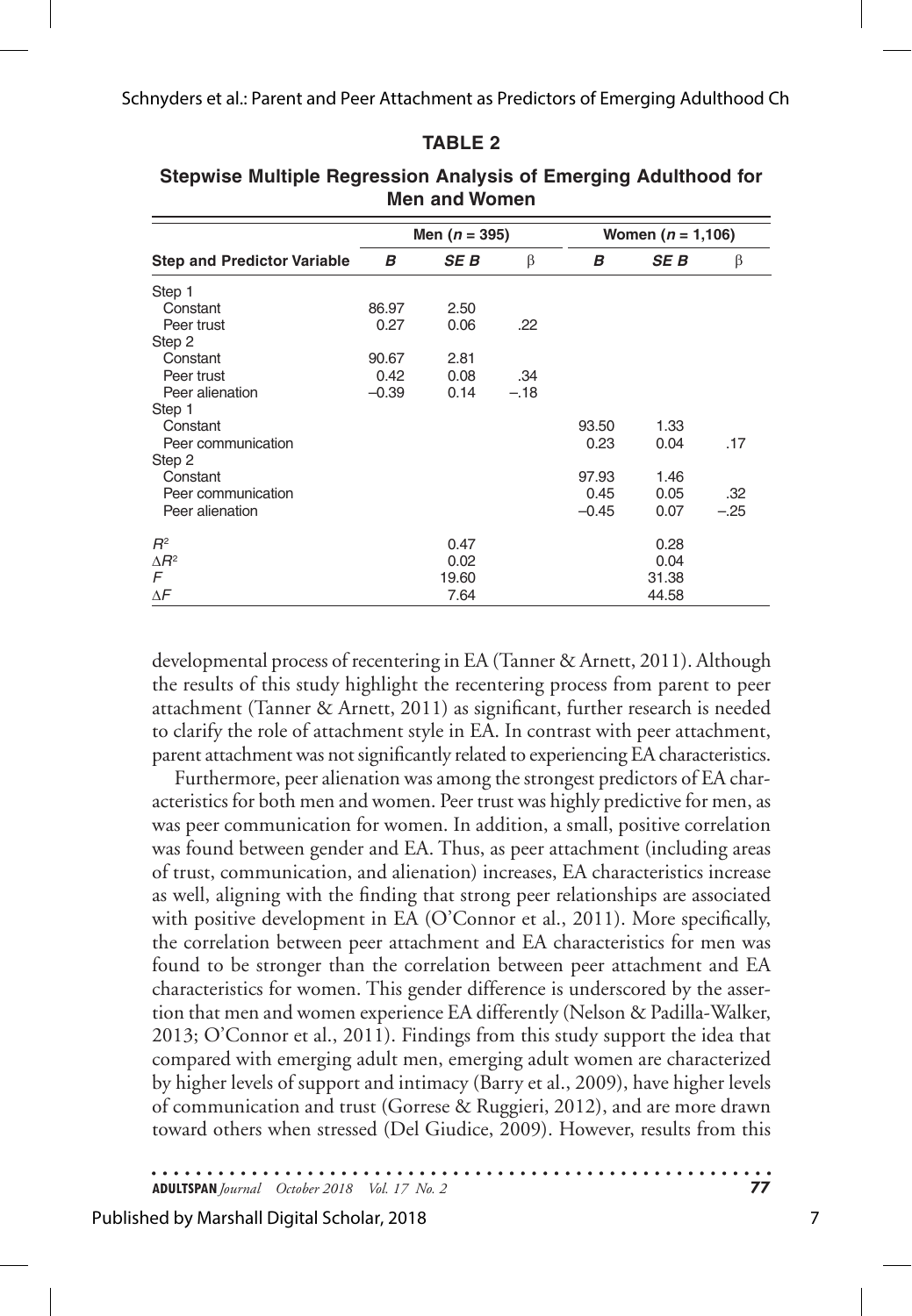#### **TABLE 2**

|                                    | Men $(n = 395)$ |       |        | Women $(n = 1, 106)$ |       |        |
|------------------------------------|-----------------|-------|--------|----------------------|-------|--------|
| <b>Step and Predictor Variable</b> | в               | SE B  | β      | B                    | SE B  | β      |
| Step 1                             |                 |       |        |                      |       |        |
| Constant                           | 86.97           | 2.50  |        |                      |       |        |
| Peer trust                         | 0.27            | 0.06  | .22    |                      |       |        |
| Step 2                             |                 |       |        |                      |       |        |
| Constant                           | 90.67           | 2.81  |        |                      |       |        |
| Peer trust                         | 0.42            | 0.08  | .34    |                      |       |        |
| Peer alienation                    | $-0.39$         | 0.14  | $-.18$ |                      |       |        |
| Step 1                             |                 |       |        |                      |       |        |
| Constant                           |                 |       |        | 93.50                | 1.33  |        |
| Peer communication                 |                 |       |        | 0.23                 | 0.04  | .17    |
| Step 2                             |                 |       |        |                      |       |        |
| Constant                           |                 |       |        | 97.93                | 1.46  |        |
| Peer communication                 |                 |       |        | 0.45                 | 0.05  | .32    |
| Peer alienation                    |                 |       |        | $-0.45$              | 0.07  | $-.25$ |
| $R^2$                              |                 | 0.47  |        |                      | 0.28  |        |
| $\Delta R^2$                       |                 | 0.02  |        |                      | 0.04  |        |
| F                                  |                 | 19.60 |        |                      | 31.38 |        |
| $\Delta F$                         |                 | 7.64  |        |                      | 44.58 |        |

## **Stepwise Multiple Regression Analysis of Emerging Adulthood for Men and Women**

developmental process of recentering in EA (Tanner & Arnett, 2011). Although the results of this study highlight the recentering process from parent to peer attachment (Tanner & Arnett, 2011) as significant, further research is needed to clarify the role of attachment style in EA. In contrast with peer attachment, parent attachment was not significantly related to experiencing EA characteristics.

Furthermore, peer alienation was among the strongest predictors of EA characteristics for both men and women. Peer trust was highly predictive for men, as was peer communication for women. In addition, a small, positive correlation was found between gender and EA. Thus, as peer attachment (including areas of trust, communication, and alienation) increases, EA characteristics increase as well, aligning with the finding that strong peer relationships are associated with positive development in EA (O'Connor et al., 2011). More specifically, the correlation between peer attachment and EA characteristics for men was found to be stronger than the correlation between peer attachment and EA characteristics for women. This gender difference is underscored by the assertion that men and women experience EA differently (Nelson & Padilla-Walker, 2013; O'Connor et al., 2011). Findings from this study support the idea that compared with emerging adult men, emerging adult women are characterized by higher levels of support and intimacy (Barry et al., 2009), have higher levels of communication and trust (Gorrese & Ruggieri, 2012), and are more drawn toward others when stressed (Del Giudice, 2009). However, results from this

**ADULTSPAN***Journal October 2018 Vol. 17 No. 2* **77**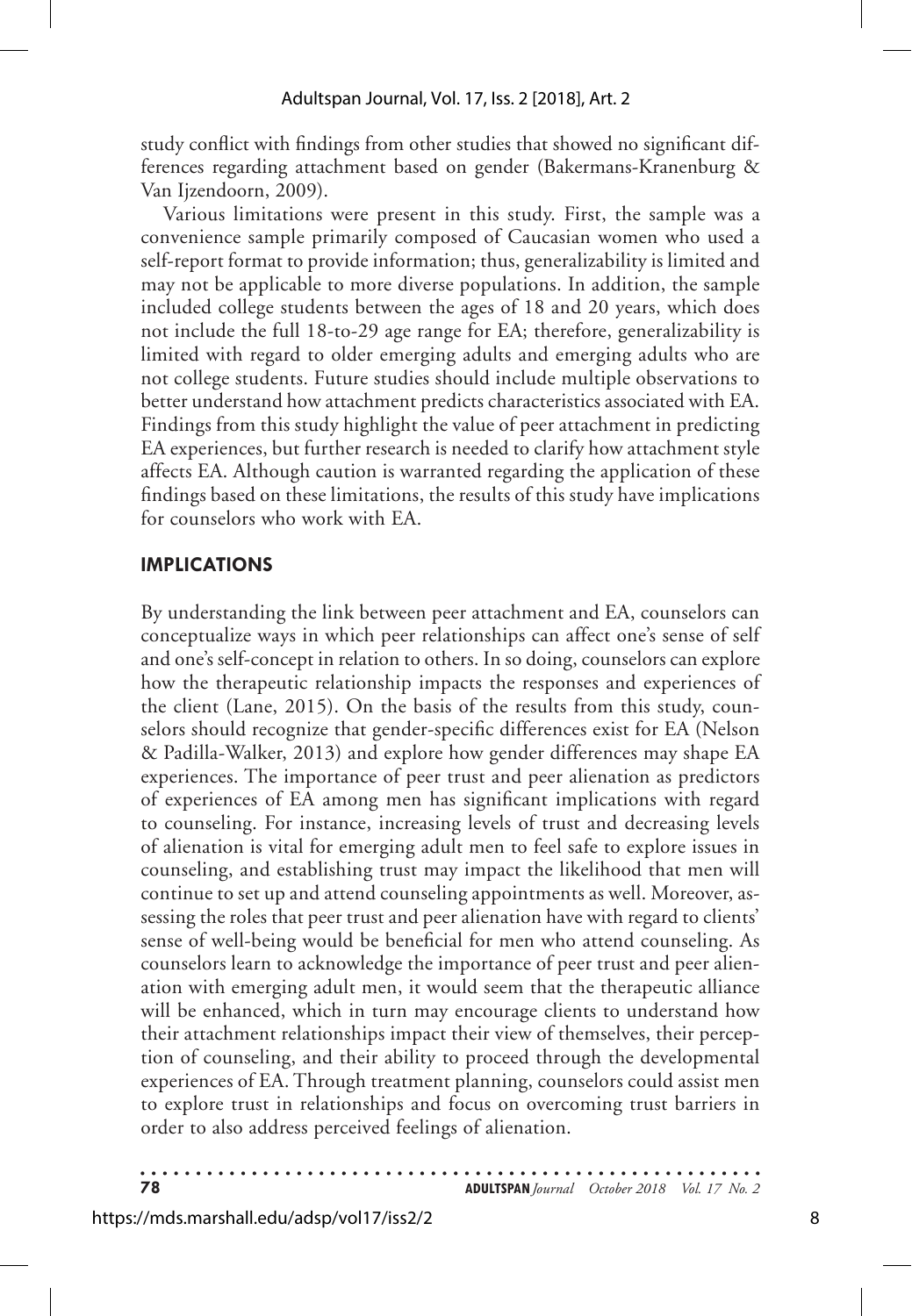study conflict with findings from other studies that showed no significant differences regarding attachment based on gender (Bakermans-Kranenburg & Van Ijzendoorn, 2009).

Various limitations were present in this study. First, the sample was a convenience sample primarily composed of Caucasian women who used a self-report format to provide information; thus, generalizability is limited and may not be applicable to more diverse populations. In addition, the sample included college students between the ages of 18 and 20 years, which does not include the full 18-to-29 age range for EA; therefore, generalizability is limited with regard to older emerging adults and emerging adults who are not college students. Future studies should include multiple observations to better understand how attachment predicts characteristics associated with EA. Findings from this study highlight the value of peer attachment in predicting EA experiences, but further research is needed to clarify how attachment style affects EA. Although caution is warranted regarding the application of these findings based on these limitations, the results of this study have implications for counselors who work with EA.

## **IMPLICATIONS**

By understanding the link between peer attachment and EA, counselors can conceptualize ways in which peer relationships can affect one's sense of self and one's self-concept in relation to others. In so doing, counselors can explore how the therapeutic relationship impacts the responses and experiences of the client (Lane, 2015). On the basis of the results from this study, counselors should recognize that gender-specific differences exist for EA (Nelson & Padilla-Walker, 2013) and explore how gender differences may shape EA experiences. The importance of peer trust and peer alienation as predictors of experiences of EA among men has significant implications with regard to counseling. For instance, increasing levels of trust and decreasing levels of alienation is vital for emerging adult men to feel safe to explore issues in counseling, and establishing trust may impact the likelihood that men will continue to set up and attend counseling appointments as well. Moreover, assessing the roles that peer trust and peer alienation have with regard to clients' sense of well-being would be beneficial for men who attend counseling. As counselors learn to acknowledge the importance of peer trust and peer alienation with emerging adult men, it would seem that the therapeutic alliance will be enhanced, which in turn may encourage clients to understand how their attachment relationships impact their view of themselves, their perception of counseling, and their ability to proceed through the developmental experiences of EA. Through treatment planning, counselors could assist men to explore trust in relationships and focus on overcoming trust barriers in order to also address perceived feelings of alienation.

**78 ADULTSPAN***Journal October 2018 Vol. 17 No. 2*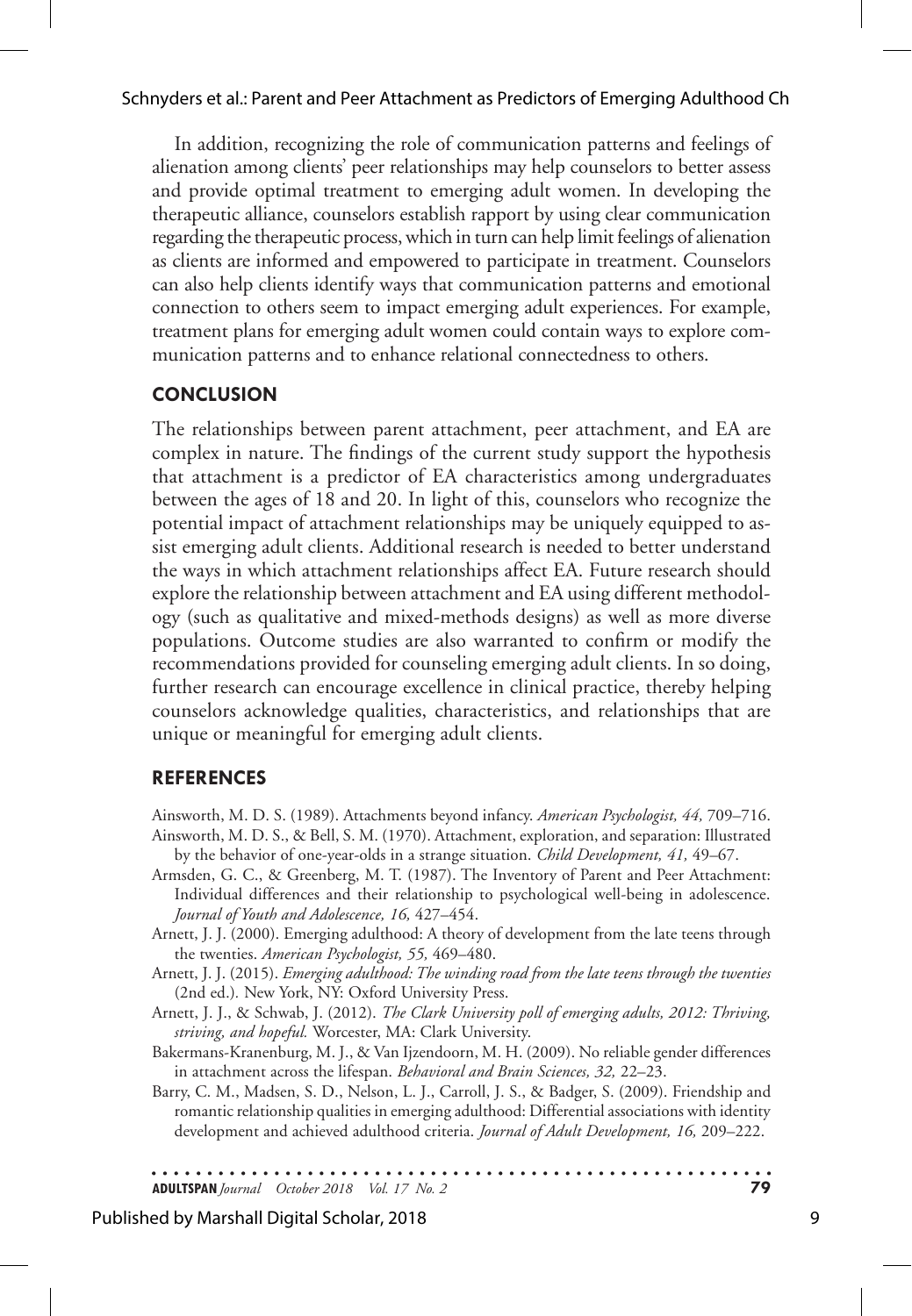#### Schnyders et al.: Parent and Peer Attachment as Predictors of Emerging Adulthood Ch

In addition, recognizing the role of communication patterns and feelings of alienation among clients' peer relationships may help counselors to better assess and provide optimal treatment to emerging adult women. In developing the therapeutic alliance, counselors establish rapport by using clear communication regarding the therapeutic process, which in turn can help limit feelings of alienation as clients are informed and empowered to participate in treatment. Counselors can also help clients identify ways that communication patterns and emotional connection to others seem to impact emerging adult experiences. For example, treatment plans for emerging adult women could contain ways to explore communication patterns and to enhance relational connectedness to others.

## **CONCLUSION**

The relationships between parent attachment, peer attachment, and EA are complex in nature. The findings of the current study support the hypothesis that attachment is a predictor of EA characteristics among undergraduates between the ages of 18 and 20. In light of this, counselors who recognize the potential impact of attachment relationships may be uniquely equipped to assist emerging adult clients. Additional research is needed to better understand the ways in which attachment relationships affect EA. Future research should explore the relationship between attachment and EA using different methodology (such as qualitative and mixed-methods designs) as well as more diverse populations. Outcome studies are also warranted to confirm or modify the recommendations provided for counseling emerging adult clients. In so doing, further research can encourage excellence in clinical practice, thereby helping counselors acknowledge qualities, characteristics, and relationships that are unique or meaningful for emerging adult clients.

## **REFERENCES**

- Ainsworth, M. D. S. (1989). Attachments beyond infancy. *American Psychologist, 44,* 709–716.
- Ainsworth, M. D. S., & Bell, S. M. (1970). Attachment, exploration, and separation: Illustrated by the behavior of one-year-olds in a strange situation. *Child Development, 41,* 49–67.
- Armsden, G. C., & Greenberg, M. T. (1987). The Inventory of Parent and Peer Attachment: Individual differences and their relationship to psychological well-being in adolescence. *Journal of Youth and Adolescence, 16,* 427–454.
- Arnett, J. J. (2000). Emerging adulthood: A theory of development from the late teens through the twenties. *American Psychologist, 55,* 469–480.
- Arnett, J. J. (2015). *Emerging adulthood: The winding road from the late teens through the twenties* (2nd ed.)*.* New York, NY: Oxford University Press.
- Arnett, J. J., & Schwab, J. (2012). *The Clark University poll of emerging adults, 2012: Thriving, striving, and hopeful.* Worcester, MA: Clark University.
- Bakermans-Kranenburg, M. J., & Van Ijzendoorn, M. H. (2009). No reliable gender differences in attachment across the lifespan. *Behavioral and Brain Sciences, 32,* 22–23.
- Barry, C. M., Madsen, S. D., Nelson, L. J., Carroll, J. S., & Badger, S. (2009). Friendship and romantic relationship qualities in emerging adulthood: Differential associations with identity development and achieved adulthood criteria. *Journal of Adult Development, 16,* 209–222.

. . . . . . . . . . . . . . . . . . **ADULTSPAN***Journal October 2018 Vol. 17 No. 2* **79**